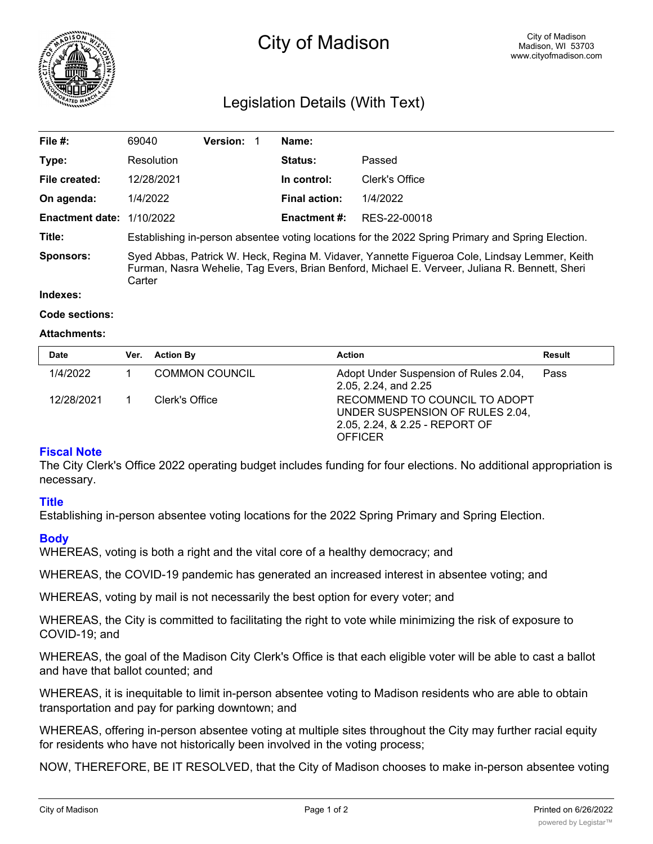

# City of Madison

# Legislation Details (With Text)

| File #:                    | 69040                                                                                                                                                                                                     | <b>Version:</b> |  | Name:                |                |  |
|----------------------------|-----------------------------------------------------------------------------------------------------------------------------------------------------------------------------------------------------------|-----------------|--|----------------------|----------------|--|
| Type:                      | Resolution                                                                                                                                                                                                |                 |  | <b>Status:</b>       | Passed         |  |
| File created:              | 12/28/2021                                                                                                                                                                                                |                 |  | In control:          | Clerk's Office |  |
| On agenda:                 | 1/4/2022                                                                                                                                                                                                  |                 |  | <b>Final action:</b> | 1/4/2022       |  |
| <b>Enactment date:</b>     | 1/10/2022                                                                                                                                                                                                 |                 |  | <b>Enactment #:</b>  | RES-22-00018   |  |
| Title:                     | Establishing in-person absentee voting locations for the 2022 Spring Primary and Spring Election.                                                                                                         |                 |  |                      |                |  |
| <b>Sponsors:</b>           | Syed Abbas, Patrick W. Heck, Regina M. Vidaver, Yannette Figueroa Cole, Lindsay Lemmer, Keith<br>Furman, Nasra Wehelie, Tag Evers, Brian Benford, Michael E. Verveer, Juliana R. Bennett, Sheri<br>Carter |                 |  |                      |                |  |
| المتحدث والمتحالة المتحالة |                                                                                                                                                                                                           |                 |  |                      |                |  |

#### **Indexes:**

#### **Code sections:**

#### **Attachments:**

| <b>Date</b> | Ver. Action By        | <b>Action</b>                                                                                                        | <b>Result</b> |
|-------------|-----------------------|----------------------------------------------------------------------------------------------------------------------|---------------|
| 1/4/2022    | <b>COMMON COUNCIL</b> | Adopt Under Suspension of Rules 2.04,<br>2.05, 2.24, and 2.25                                                        | Pass          |
| 12/28/2021  | Clerk's Office        | RECOMMEND TO COUNCIL TO ADOPT<br>UNDER SUSPENSION OF RULES 2.04,<br>2.05, 2.24, & 2.25 - REPORT OF<br><b>OFFICER</b> |               |

# **Fiscal Note**

The City Clerk's Office 2022 operating budget includes funding for four elections. No additional appropriation is necessary.

# **Title**

Establishing in-person absentee voting locations for the 2022 Spring Primary and Spring Election.

# **Body**

WHEREAS, voting is both a right and the vital core of a healthy democracy; and

WHEREAS, the COVID-19 pandemic has generated an increased interest in absentee voting; and

WHEREAS, voting by mail is not necessarily the best option for every voter; and

WHEREAS, the City is committed to facilitating the right to vote while minimizing the risk of exposure to COVID-19; and

WHEREAS, the goal of the Madison City Clerk's Office is that each eligible voter will be able to cast a ballot and have that ballot counted; and

WHEREAS, it is inequitable to limit in-person absentee voting to Madison residents who are able to obtain transportation and pay for parking downtown; and

WHEREAS, offering in-person absentee voting at multiple sites throughout the City may further racial equity for residents who have not historically been involved in the voting process;

NOW, THEREFORE, BE IT RESOLVED, that the City of Madison chooses to make in-person absentee voting